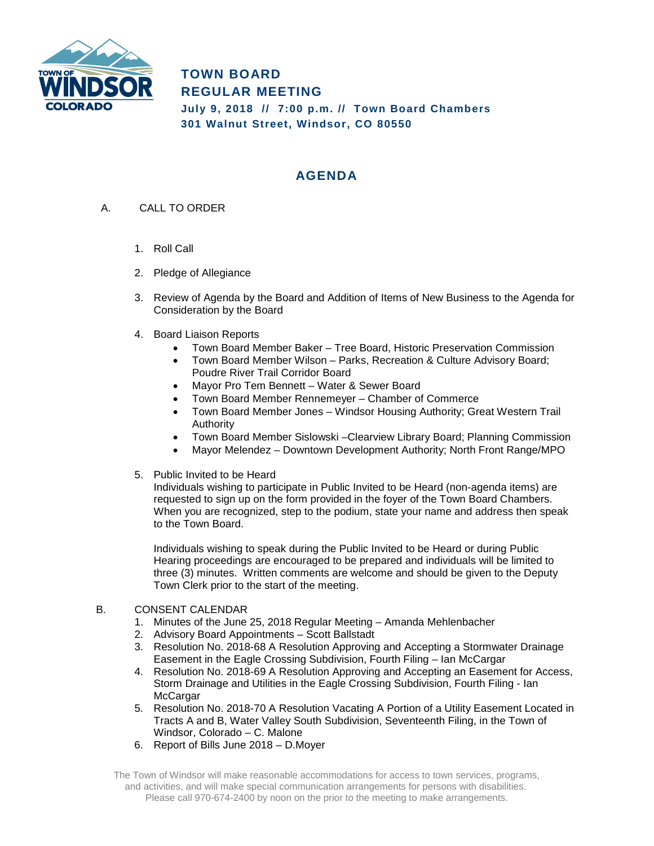

**TOWN BOARD REGULAR MEETING July 9, 2018 // 7:00 p.m. // Town Board Chambers 301 Walnut Street, Windsor, CO 80550**

## **AGENDA**

- A. CALL TO ORDER
	- 1. Roll Call
	- 2. Pledge of Allegiance
	- 3. Review of Agenda by the Board and Addition of Items of New Business to the Agenda for Consideration by the Board
	- 4. Board Liaison Reports
		- Town Board Member Baker Tree Board, Historic Preservation Commission
		- Town Board Member Wilson Parks, Recreation & Culture Advisory Board; Poudre River Trail Corridor Board
		- Mayor Pro Tem Bennett Water & Sewer Board
		- Town Board Member Rennemeyer Chamber of Commerce
		- Town Board Member Jones Windsor Housing Authority; Great Western Trail Authority
		- Town Board Member Sislowski –Clearview Library Board; Planning Commission
		- Mayor Melendez Downtown Development Authority; North Front Range/MPO
	- 5. Public Invited to be Heard

Individuals wishing to participate in Public Invited to be Heard (non-agenda items) are requested to sign up on the form provided in the foyer of the Town Board Chambers. When you are recognized, step to the podium, state your name and address then speak to the Town Board.

Individuals wishing to speak during the Public Invited to be Heard or during Public Hearing proceedings are encouraged to be prepared and individuals will be limited to three (3) minutes. Written comments are welcome and should be given to the Deputy Town Clerk prior to the start of the meeting.

## B. CONSENT CALENDAR

- 1. Minutes of the June 25, 2018 Regular Meeting Amanda Mehlenbacher
- 2. Advisory Board Appointments Scott Ballstadt
- 3. Resolution No. 2018-68 A Resolution Approving and Accepting a Stormwater Drainage Easement in the Eagle Crossing Subdivision, Fourth Filing – Ian McCargar
- 4. Resolution No. 2018-69 A Resolution Approving and Accepting an Easement for Access, Storm Drainage and Utilities in the Eagle Crossing Subdivision, Fourth Filing - Ian **McCargar**
- 5. Resolution No. 2018-70 A Resolution Vacating A Portion of a Utility Easement Located in Tracts A and B, Water Valley South Subdivision, Seventeenth Filing, in the Town of Windsor, Colorado – C. Malone
- 6. Report of Bills June 2018 D.Moyer

The Town of Windsor will make reasonable accommodations for access to town services, programs, and activities, and will make special communication arrangements for persons with disabilities. Please call 970-674-2400 by noon on the prior to the meeting to make arrangements.